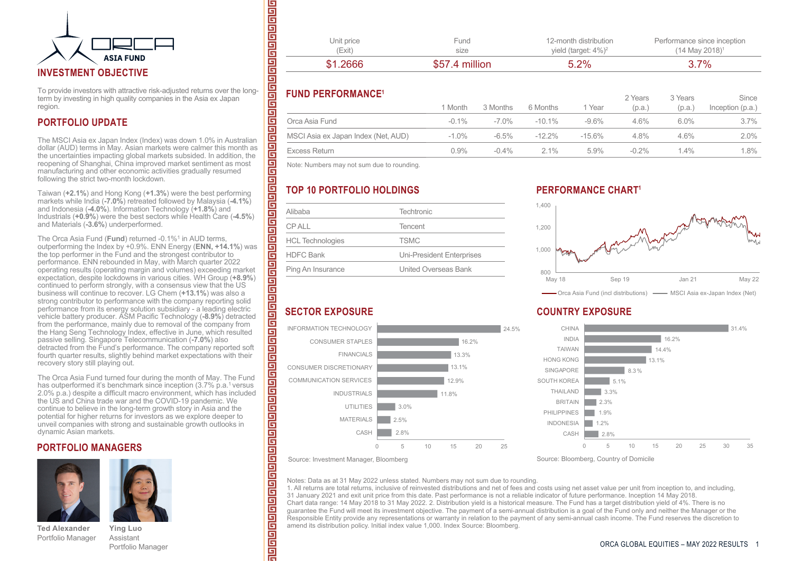

To provide investors with attractive risk-adjusted returns over the longterm by investing in high quality companies in the Asia ex Japan region.

### **PORTFOLIO UPDATE**

The MSCI Asia ex Japan Index (Index) was down 1.0% in Australian dollar (AUD) terms in May. Asian markets were calmer this month as the uncertainties impacting global markets subsided. In addition, the reopening of Shanghai, China improved market sentiment as most manufacturing and other economic activities gradually resumed following the strict two-month lockdown.

Taiwan (**+2.1%**) and Hong Kong (**+1.3%**) were the best performing markets while India (**-7.0%**) retreated followed by Malaysia (**-4.1%**) and Indonesia (**-4.0%**). Information Technology (**+1.8%**) and Industrials (**+0.9%**) were the best sectors while Health Care (**-4.5%**) and Materials (**-3.6%**) underperformed.

The Orca Asia Fund (**Fund**) returned -0.1%<sup>1</sup> in AUD terms, outperforming the Index by +0.9%. ENN Energy (**ENN, +14.1%**) was the top performer in the Fund and the strongest contributor to performance. ENN rebounded in May, with March quarter 2022 operating results (operating margin and volumes) exceeding market expectation, despite lockdowns in various cities. WH Group (**+8.9%**) continued to perform strongly, with a consensus view that the US business will continue to recover. LG Chem (**+13.1%**) was also a strong contributor to performance with the company reporting solid performance from its energy solution subsidiary - a leading electric vehicle battery producer. ASM Pacific Technology (**-8.9%**) detracted from the performance, mainly due to removal of the company from the Hang Seng Technology Index, effective in June, which resulted passive selling. Singapore Telecommunication (**-7.0%**) also detracted from the Fund's performance. The company reported soft fourth quarter results, slightly behind market expectations with their recovery story still playing out.

The Orca Asia Fund turned four during the month of May. The Fund has outperformed it's benchmark since inception (3.7% p.a.<sup>1</sup> versus 2.0% p.a.) despite a difficult macro environment, which has included the US and China trade war and the COVID-19 pandemic. We continue to believe in the long-term growth story in Asia and the potential for higher returns for investors as we explore deeper to unveil companies with strong and sustainable growth outlooks in dynamic Asian markets.

### **PORTFOLIO MANAGERS**





**Ted Alexander** Portfolio Manager

Assistant Portfolio Manager

**Ying Luo**

| (Exit)     | size           | yield (target: $4\%$ ) <sup>2</sup> | $(14$ May 2018) <sup>1</sup> |
|------------|----------------|-------------------------------------|------------------------------|
| \$1,2666   | \$57.4 million | 5.2%                                | 3.7%                         |
| Unit price | Fund           | 12-month distribution               | Performance since inception  |

### **FUND PERFORMANCE1**

<u>गणगणगणणगण</u>

<u>गगगगगणणनागण</u>

팀

@@@@@@@@@@@@@@@

冒 靣 흽 Ē 冒 팀 팀

त्वानागवागनागनागनागनागनागन

| $\blacksquare$                      | 1 Month  | 3 Months | 6 Months  | 1 Year    | 2 Years<br>(p.a.) | 3 Years<br>(p.a. | Since<br>Inception $(p.a.)$ |
|-------------------------------------|----------|----------|-----------|-----------|-------------------|------------------|-----------------------------|
| Orca Asia Fund                      | $-0.1\%$ | -7 0%    | $-10.1\%$ | $-9.6%$   | $4.6\%$           | $6.0\%$          | $3.7\%$                     |
| MSCI Asia ex Japan Index (Net, AUD) | $-1.0%$  | $-6.5\%$ | $-12.2\%$ | $-15.6\%$ | $4.8\%$           | 4.6%             | $2.0\%$                     |
| Excess Return                       | $0.9\%$  | $-0.4\%$ | $2.1\%$   | $5.9\%$   | $-0.2\%$          | $4\%$            | $1.8\%$                     |

Note: Numbers may not sum due to rounding.

# **TOP 10 PORTFOLIO HOLDINGS**

| Alibaba                 | <b>Techtronic</b>                |  |  |
|-------------------------|----------------------------------|--|--|
| <b>CPALL</b>            | Tencent                          |  |  |
| <b>HCL Technologies</b> | <b>TSMC</b>                      |  |  |
| <b>HDFC Bank</b>        | <b>Uni-President Enterprises</b> |  |  |
| Ping An Insurance       | <b>United Overseas Bank</b>      |  |  |

## **PERFORMANCE CHART**



 $2 \times 2$ 

 $0.37 - 1.5$ 

### **COUNTRY EXPOSURE**



Source: Investment Manager, Bloomberg

CASH MATERIALS UTILITIES

FINANCIALS

INDUSTRIALS

CONSUMER STAPLES INFORMATION TECHNOLOGY

**SECTOR EXPOSURE**

COMMUNICATION SERVICES CONSUMER DISCRETIONARY

Notes: Data as at 31 May 2022 unless stated. Numbers may not sum due to rounding.

11.8% 12.9% 13.1% 13.3% 16.2%

0 5 10 15 20 25

2.8% 2.5% 3.0%

1. All returns are total returns, inclusive of reinvested distributions and net of fees and costs using net asset value per unit from inception to, and including, 31 January 2021 and exit unit price from this date. Past performance is not a reliable indicator of future performance. Inception 14 May 2018. Chart data range: 14 May 2018 to 31 May 2022. 2. Distribution yield is a historical measure. The Fund has a target distribution yield of 4%. There is no guarantee the Fund will meet its investment objective. The payment of a semi-annual distribution is a goal of the Fund only and neither the Manager or the Responsible Entity provide any representations or warranty in relation to the payment of any semi-annual cash income. The Fund reserves the discretion to amend its distribution policy. Initial index value 1,000. Index Source: Bloomberg.

24.5%